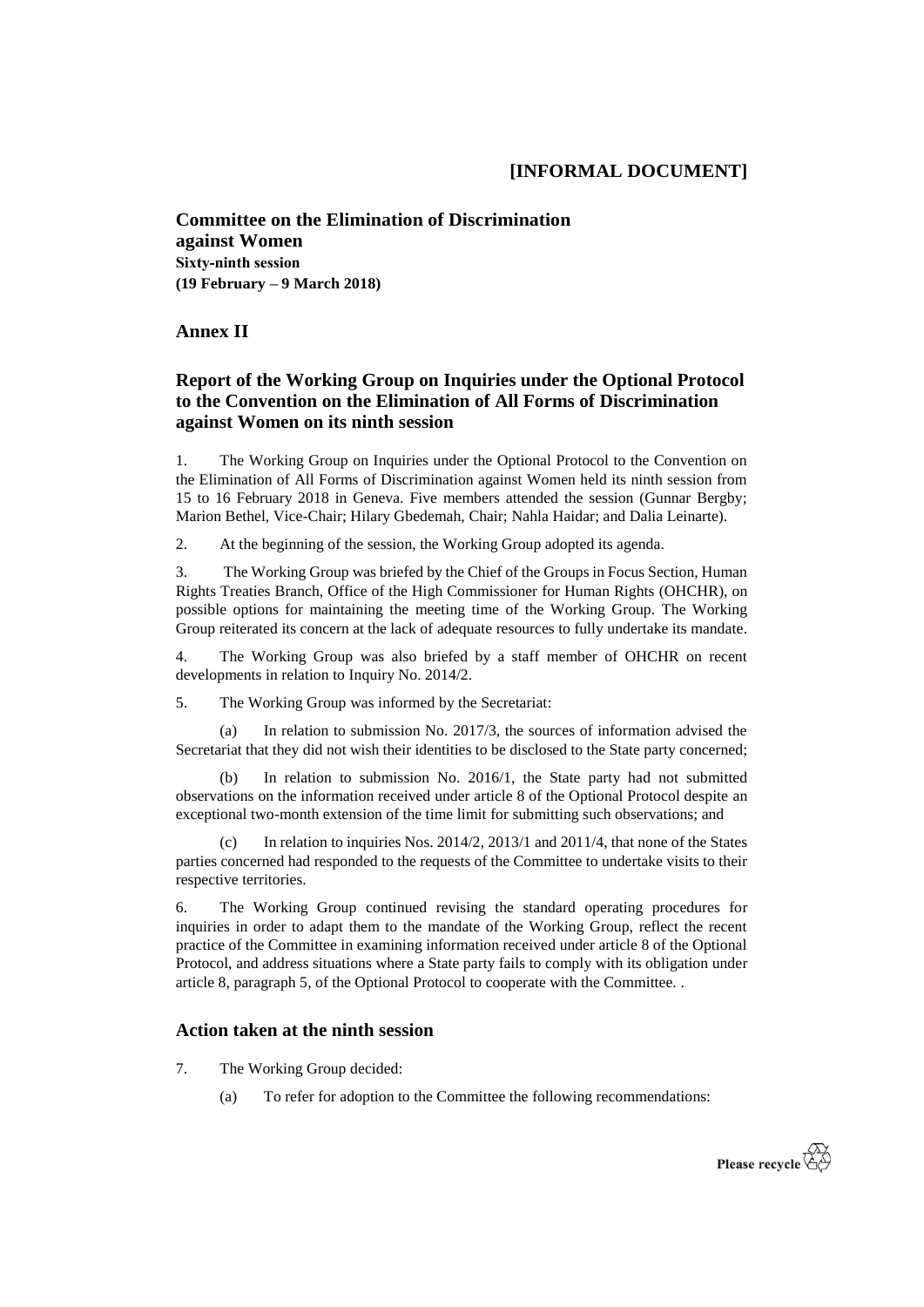**Committee on the Elimination of Discrimination against Women Sixty-ninth session (19 February – 9 March 2018)**

## **Annex II**

## **Report of the Working Group on Inquiries under the Optional Protocol to the Convention on the Elimination of All Forms of Discrimination against Women on its ninth session**

1. The Working Group on Inquiries under the Optional Protocol to the Convention on the Elimination of All Forms of Discrimination against Women held its ninth session from 15 to 16 February 2018 in Geneva. Five members attended the session (Gunnar Bergby; Marion Bethel, Vice-Chair; Hilary Gbedemah, Chair; Nahla Haidar; and Dalia Leinarte).

2. At the beginning of the session, the Working Group adopted its agenda.

3. The Working Group was briefed by the Chief of the Groups in Focus Section, Human Rights Treaties Branch, Office of the High Commissioner for Human Rights (OHCHR), on possible options for maintaining the meeting time of the Working Group. The Working Group reiterated its concern at the lack of adequate resources to fully undertake its mandate.

4. The Working Group was also briefed by a staff member of OHCHR on recent developments in relation to Inquiry No. 2014/2.

5. The Working Group was informed by the Secretariat:

(a) In relation to submission No. 2017/3, the sources of information advised the Secretariat that they did not wish their identities to be disclosed to the State party concerned;

(b) In relation to submission No. 2016/1, the State party had not submitted observations on the information received under article 8 of the Optional Protocol despite an exceptional two-month extension of the time limit for submitting such observations; and

(c) In relation to inquiries Nos. 2014/2, 2013/1 and 2011/4, that none of the States parties concerned had responded to the requests of the Committee to undertake visits to their respective territories.

6. The Working Group continued revising the standard operating procedures for inquiries in order to adapt them to the mandate of the Working Group, reflect the recent practice of the Committee in examining information received under article 8 of the Optional Protocol, and address situations where a State party fails to comply with its obligation under article 8, paragraph 5, of the Optional Protocol to cooperate with the Committee. .

## **Action taken at the ninth session**

- 7. The Working Group decided:
	- (a) To refer for adoption to the Committee the following recommendations: